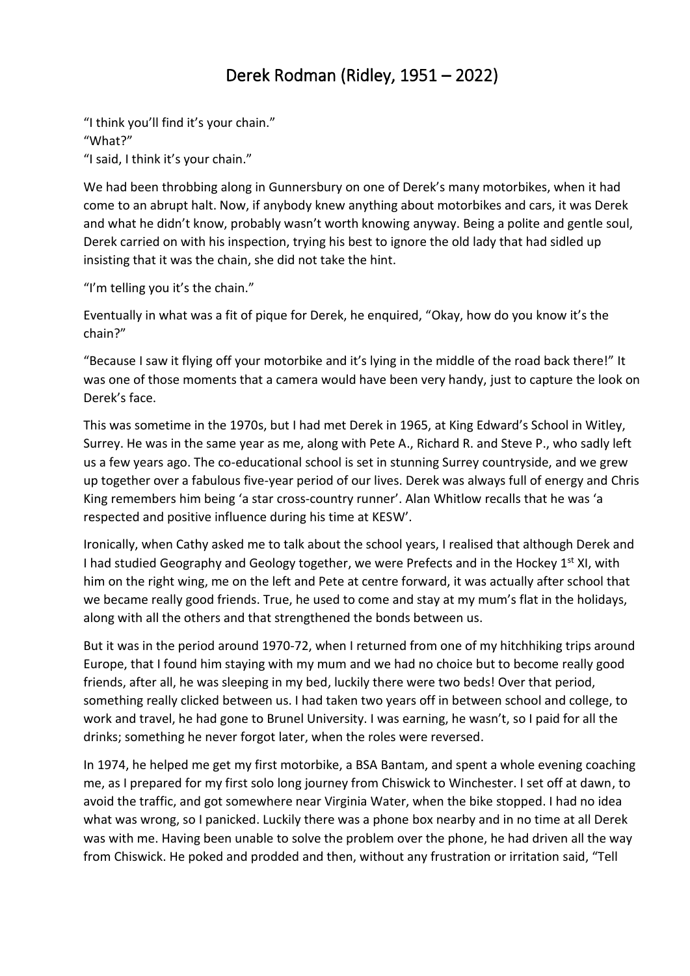## Derek Rodman (Ridley, 1951 – 2022)

"I think you'll find it's your chain." "What?" "I said, I think it's your chain."

We had been throbbing along in Gunnersbury on one of Derek's many motorbikes, when it had come to an abrupt halt. Now, if anybody knew anything about motorbikes and cars, it was Derek and what he didn't know, probably wasn't worth knowing anyway. Being a polite and gentle soul, Derek carried on with his inspection, trying his best to ignore the old lady that had sidled up insisting that it was the chain, she did not take the hint.

"I'm telling you it's the chain."

Eventually in what was a fit of pique for Derek, he enquired, "Okay, how do you know it's the chain?"

"Because I saw it flying off your motorbike and it's lying in the middle of the road back there!" It was one of those moments that a camera would have been very handy, just to capture the look on Derek's face.

This was sometime in the 1970s, but I had met Derek in 1965, at King Edward's School in Witley, Surrey. He was in the same year as me, along with Pete A., Richard R. and Steve P., who sadly left us a few years ago. The co-educational school is set in stunning Surrey countryside, and we grew up together over a fabulous five-year period of our lives. Derek was always full of energy and Chris King remembers him being 'a star cross-country runner'. Alan Whitlow recalls that he was 'a respected and positive influence during his time at KESW'.

Ironically, when Cathy asked me to talk about the school years, I realised that although Derek and I had studied Geography and Geology together, we were Prefects and in the Hockey 1<sup>st</sup> XI, with him on the right wing, me on the left and Pete at centre forward, it was actually after school that we became really good friends. True, he used to come and stay at my mum's flat in the holidays, along with all the others and that strengthened the bonds between us.

But it was in the period around 1970-72, when I returned from one of my hitchhiking trips around Europe, that I found him staying with my mum and we had no choice but to become really good friends, after all, he was sleeping in my bed, luckily there were two beds! Over that period, something really clicked between us. I had taken two years off in between school and college, to work and travel, he had gone to Brunel University. I was earning, he wasn't, so I paid for all the drinks; something he never forgot later, when the roles were reversed.

In 1974, he helped me get my first motorbike, a BSA Bantam, and spent a whole evening coaching me, as I prepared for my first solo long journey from Chiswick to Winchester. I set off at dawn, to avoid the traffic, and got somewhere near Virginia Water, when the bike stopped. I had no idea what was wrong, so I panicked. Luckily there was a phone box nearby and in no time at all Derek was with me. Having been unable to solve the problem over the phone, he had driven all the way from Chiswick. He poked and prodded and then, without any frustration or irritation said, "Tell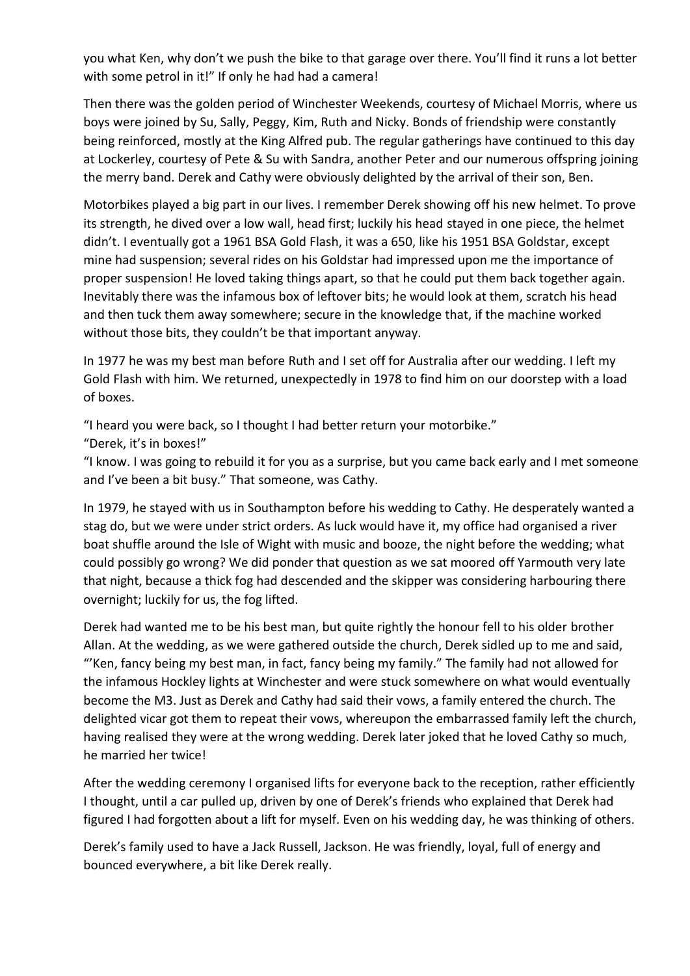you what Ken, why don't we push the bike to that garage over there. You'll find it runs a lot better with some petrol in it!" If only he had had a camera!

Then there was the golden period of Winchester Weekends, courtesy of Michael Morris, where us boys were joined by Su, Sally, Peggy, Kim, Ruth and Nicky. Bonds of friendship were constantly being reinforced, mostly at the King Alfred pub. The regular gatherings have continued to this day at Lockerley, courtesy of Pete & Su with Sandra, another Peter and our numerous offspring joining the merry band. Derek and Cathy were obviously delighted by the arrival of their son, Ben.

Motorbikes played a big part in our lives. I remember Derek showing off his new helmet. To prove its strength, he dived over a low wall, head first; luckily his head stayed in one piece, the helmet didn't. I eventually got a 1961 BSA Gold Flash, it was a 650, like his 1951 BSA Goldstar, except mine had suspension; several rides on his Goldstar had impressed upon me the importance of proper suspension! He loved taking things apart, so that he could put them back together again. Inevitably there was the infamous box of leftover bits; he would look at them, scratch his head and then tuck them away somewhere; secure in the knowledge that, if the machine worked without those bits, they couldn't be that important anyway.

In 1977 he was my best man before Ruth and I set off for Australia after our wedding. I left my Gold Flash with him. We returned, unexpectedly in 1978 to find him on our doorstep with a load of boxes.

"I heard you were back, so I thought I had better return your motorbike."

"Derek, it's in boxes!"

"I know. I was going to rebuild it for you as a surprise, but you came back early and I met someone and I've been a bit busy." That someone, was Cathy.

In 1979, he stayed with us in Southampton before his wedding to Cathy. He desperately wanted a stag do, but we were under strict orders. As luck would have it, my office had organised a river boat shuffle around the Isle of Wight with music and booze, the night before the wedding; what could possibly go wrong? We did ponder that question as we sat moored off Yarmouth very late that night, because a thick fog had descended and the skipper was considering harbouring there overnight; luckily for us, the fog lifted.

Derek had wanted me to be his best man, but quite rightly the honour fell to his older brother Allan. At the wedding, as we were gathered outside the church, Derek sidled up to me and said, "'Ken, fancy being my best man, in fact, fancy being my family." The family had not allowed for the infamous Hockley lights at Winchester and were stuck somewhere on what would eventually become the M3. Just as Derek and Cathy had said their vows, a family entered the church. The delighted vicar got them to repeat their vows, whereupon the embarrassed family left the church, having realised they were at the wrong wedding. Derek later joked that he loved Cathy so much, he married her twice!

After the wedding ceremony I organised lifts for everyone back to the reception, rather efficiently I thought, until a car pulled up, driven by one of Derek's friends who explained that Derek had figured I had forgotten about a lift for myself. Even on his wedding day, he was thinking of others.

Derek's family used to have a Jack Russell, Jackson. He was friendly, loyal, full of energy and bounced everywhere, a bit like Derek really.